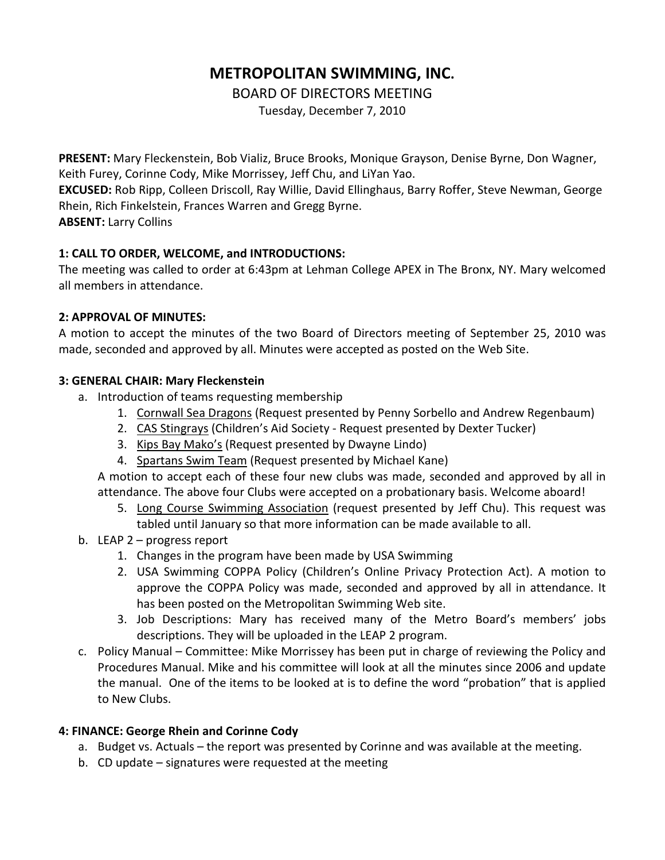# **METROPOLITAN SWIMMING, INC.**

BOARD OF DIRECTORS MEETING

Tuesday, December 7, 2010

**PRESENT:** Mary Fleckenstein, Bob Vializ, Bruce Brooks, Monique Grayson, Denise Byrne, Don Wagner, Keith Furey, Corinne Cody, Mike Morrissey, Jeff Chu, and LiYan Yao.

**EXCUSED:** Rob Ripp, Colleen Driscoll, Ray Willie, David Ellinghaus, Barry Roffer, Steve Newman, George Rhein, Rich Finkelstein, Frances Warren and Gregg Byrne.

**ABSENT:** Larry Collins

# **1: CALL TO ORDER, WELCOME, and INTRODUCTIONS:**

The meeting was called to order at 6:43pm at Lehman College APEX in The Bronx, NY. Mary welcomed all members in attendance.

## **2: APPROVAL OF MINUTES:**

A motion to accept the minutes of the two Board of Directors meeting of September 25, 2010 was made, seconded and approved by all. Minutes were accepted as posted on the Web Site.

## **3: GENERAL CHAIR: Mary Fleckenstein**

- a. Introduction of teams requesting membership
	- 1. Cornwall Sea Dragons (Request presented by Penny Sorbello and Andrew Regenbaum)
	- 2. CAS Stingrays (Children's Aid Society Request presented by Dexter Tucker)
	- 3. Kips Bay Mako's (Request presented by Dwayne Lindo)
	- 4. Spartans Swim Team (Request presented by Michael Kane)

A motion to accept each of these four new clubs was made, seconded and approved by all in attendance. The above four Clubs were accepted on a probationary basis. Welcome aboard!

- 5. Long Course Swimming Association (request presented by Jeff Chu). This request was tabled until January so that more information can be made available to all.
- b. LEAP 2 progress report
	- 1. Changes in the program have been made by USA Swimming
	- 2. USA Swimming COPPA Policy (Children's Online Privacy Protection Act). A motion to approve the COPPA Policy was made, seconded and approved by all in attendance. It has been posted on the Metropolitan Swimming Web site.
	- 3. Job Descriptions: Mary has received many of the Metro Board's members' jobs descriptions. They will be uploaded in the LEAP 2 program.
- c. Policy Manual Committee: Mike Morrissey has been put in charge of reviewing the Policy and Procedures Manual. Mike and his committee will look at all the minutes since 2006 and update the manual. One of the items to be looked at is to define the word "probation" that is applied to New Clubs.

# **4: FINANCE: George Rhein and Corinne Cody**

- a. Budget vs. Actuals the report was presented by Corinne and was available at the meeting.
- b. CD update signatures were requested at the meeting